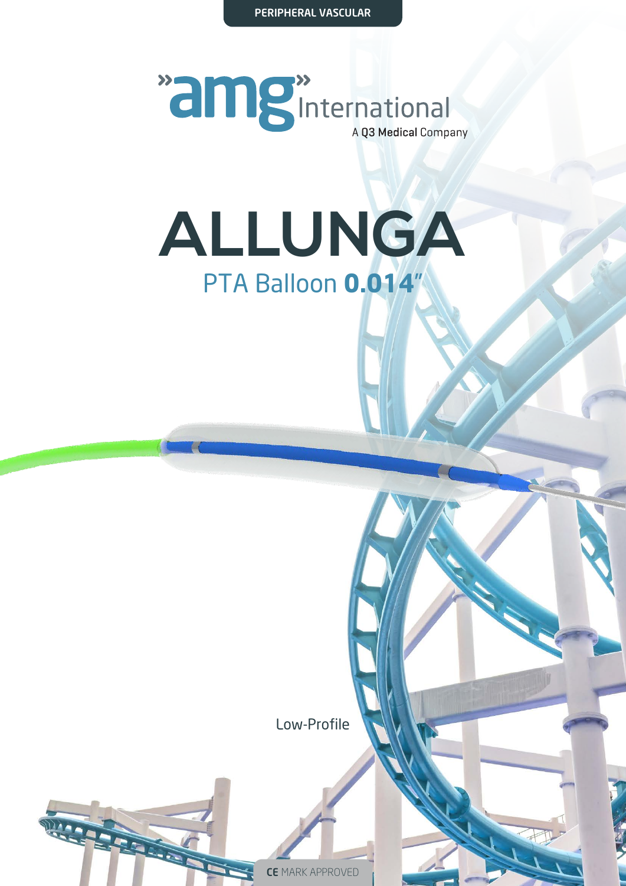PERIPHERAL VASCULAR



### **ALLUNGA** PTA Balloon **0.014**"

Low-Profile

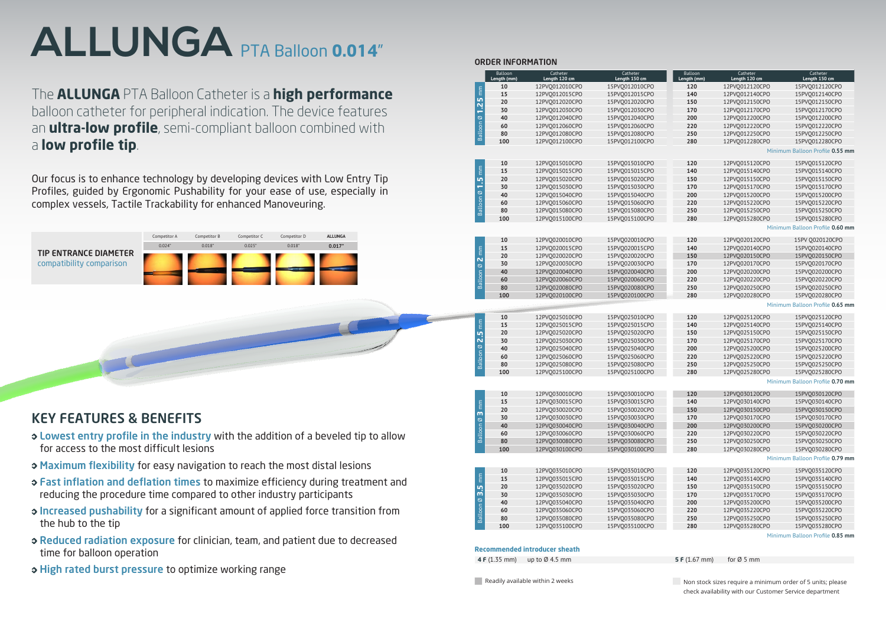### KEY FEATURES & BENEFITS

- Lowest entry profile in the industry with the addition of a beveled tip to allow for access to the most difficult lesions
- $\rightarrow$  **Maximum flexibility** for easy navigation to reach the most distal lesions

**Contract Contract Contract Contract** 

- **S Fast inflation and deflation times to maximize efficiency during treatment and** reducing the procedure time compared to other industry participants
- **Increased pushability for a significant amount of applied force transition from** the hub to the tip
- Reduced radiation exposure for clinician, team, and patient due to decreased time for balloon operation
- ◆ High rated burst pressure to optimize working range

The **ALLUNGA** PTA Balloon Catheter is a **high performance** balloon catheter for peripheral indication. The device features an **ultra-low profile**, semi-compliant balloon combined with a **low profile tip**.

Our focus is to enhance technology by developing devices with Low Entry Tip Profiles, guided by Ergonomic Pushability for your ease of use, especially in complex vessels, Tactile Trackability for enhanced Manoveuring.



### ORDER INFORMATION

| <b>Recommended introducer sheath</b> |  |
|--------------------------------------|--|
|                                      |  |

 **4 F** (1.35 mm) up to Ø 4.5 mm **5 F** (1.67 mm) for Ø 5 mm

Readily available within 2 weeks Non stock sizes require a minimum order of 5 units; please check availability with our Customer Service department

|                               | Balloon     | Catheter                         | Catheter                         |  |  |  |
|-------------------------------|-------------|----------------------------------|----------------------------------|--|--|--|
|                               | Length (mm) | Length 120 cm                    | Length 150 cm                    |  |  |  |
|                               | 10          | 12PVQ012010CPO                   | 15PVQ012010CPO                   |  |  |  |
|                               | 15          | 12PVQ012015CPO                   | 15PVQ012015CPO                   |  |  |  |
|                               | 20          | 12PVQ012020CPO                   | 15PVQ012020CPO                   |  |  |  |
| Balloon $\varnothing$ 1.25 mm | 30          | 12PVQ012030CPO                   | 15PVQ012030CPO                   |  |  |  |
|                               | 40          | 12PVQ012040CPO                   | 15PVQ012040CPO                   |  |  |  |
|                               | 60          | 12PVQ012060CPO                   | 15PVQ012060CPO                   |  |  |  |
|                               | 80          | 12PVQ012080CPO                   | 15PVQ012080CPO                   |  |  |  |
|                               | 100         | 12PVQ012100CPO                   | 15PVQ012100CPO                   |  |  |  |
|                               |             |                                  |                                  |  |  |  |
|                               |             |                                  |                                  |  |  |  |
| mm                            | 10<br>15    | 12PVQ015010CPO                   | 15PVQ015010CPO                   |  |  |  |
|                               | 20          | 12PVQ015015CPO                   | 15PVQ015015CPO                   |  |  |  |
| $\frac{5}{1}$                 | 30          | 12PVQ015020CPO                   | 15PVQ015020CPO                   |  |  |  |
| $\infty$                      | 40          | 12PVQ015030CPO<br>12PVQ015040CPO | 15PVQ015030CPO                   |  |  |  |
|                               | 60          |                                  | 15PVQ015040CPO                   |  |  |  |
| Balloon                       | 80          | 12PVQ015060CPO<br>12PVQ015080CPO | 15PVQ015060CPO<br>15PVQ015080CPO |  |  |  |
|                               | 100         | 12PVQ015100CPO                   | 15PVQ015100CPO                   |  |  |  |
|                               |             |                                  |                                  |  |  |  |
|                               |             |                                  |                                  |  |  |  |
|                               | 10          | 12PVQ020010CPO                   | 15PVQ020010CPO                   |  |  |  |
| mm                            | 15          | 12PVQ020015CPO                   | 15PVQ020015CPO                   |  |  |  |
|                               | 20          | 12PVQ020020CPO                   | 15PVQ020020CPO                   |  |  |  |
| N<br>$\infty$                 | 30          | 12PVQ020030CPO                   | 15PVQ020030CPO                   |  |  |  |
|                               | 40          | 12PVQ020040CPO                   | 15PVQ020040CPO                   |  |  |  |
| Balloon                       | 60          | 12PVO020060CPO                   | 15PVQ020060CPO                   |  |  |  |
|                               | 80          | 12PVQ020080CPO                   | 15PVQ020080CPO                   |  |  |  |
|                               | 100         | 12PVQ020100CPO                   | 15PVQ020100CPO                   |  |  |  |
|                               |             |                                  |                                  |  |  |  |
|                               |             |                                  |                                  |  |  |  |
|                               | 10          | 12PVQ025010CPO                   | 15PVQ025010CPO                   |  |  |  |
| mm                            | 15          | 12PVQ025015CPO                   | 15PVQ025015CPO                   |  |  |  |
| 2.5<br>N                      | 20          | 12PV0025020CPO                   | 15PVQ025020CPO                   |  |  |  |
| $\infty$                      | 30          | 12PVQ025030CPO                   | 15PVQ025030CPO                   |  |  |  |
|                               | 40          | 12PVQ025040CPO                   | 15PVQ025040CPO                   |  |  |  |
| Balloon                       | 60          | 12PVQ025060CPO                   | 15PVQ025060CPO                   |  |  |  |
|                               | 80          | 12PVQ025080CPO                   | 15PVQ025080CPO                   |  |  |  |
|                               | 100         | 12PVQ025100CPO                   | 15PVQ025100CPO                   |  |  |  |
|                               |             |                                  |                                  |  |  |  |
|                               | 10          | 12PV0030010CPO                   | 15PVQ030010CPO                   |  |  |  |
|                               | 15          | 12PVQ030015CPO                   | 15PVQ030015CPO                   |  |  |  |
| Ē                             | 20          | 12PVQ030020CPO                   | 15PVQ030020CPO                   |  |  |  |
| m<br>Ø                        | 30          | 12PV0030030CPO                   | 15PVQ030030CPO                   |  |  |  |
|                               | 40          | 12PVQ030040CPO                   | 15PVQ030040CPO                   |  |  |  |
| Balloon                       | 60          | 12PVQ030060CPO                   | 15PVQ030060CPO                   |  |  |  |
|                               | 80          | 12PVQ030080CPO                   | 15PVQ030080CPO                   |  |  |  |
|                               | 100         | 12PVQ030100CPO                   | 15PVQ030100CPO                   |  |  |  |
|                               |             |                                  |                                  |  |  |  |
|                               |             |                                  |                                  |  |  |  |
|                               | 10          | 12PVQ035010CPO                   | 15PVQ035010CPO                   |  |  |  |
| mm                            | 15          | 12PVQ035015CPO                   | 15PVQ035015CPO                   |  |  |  |
| 20<br>3.5                     |             | 12PVQ035020CPO                   | 15PVQ035020CPO                   |  |  |  |
| $\infty$                      | 30          | 12PVQ035030CPO                   | 15PVQ035030CPO                   |  |  |  |
|                               | 40          | 12PVQ035040CPO                   | 15PVQ035040CPO                   |  |  |  |
| Balloon                       | 60          | 12PVQ035060CPO                   | 15PVQ035060CPO                   |  |  |  |
|                               | 80          | 12PVQ035080CPO                   | 15PVQ035080CPO                   |  |  |  |
|                               | 100         | 12PVQ035100CPO                   | 15PVQ035100CPO                   |  |  |  |

| Balloon     | Catheter                         | Catheter                        |
|-------------|----------------------------------|---------------------------------|
| Length (mm) | Length 120 cm                    | Length 150 cm                   |
| 120         | 12PVQ012120CPO                   | 15PVQ012120CPO                  |
| 140         | 12PVQ012140CPO                   | 15PVQ012140CPO                  |
| 150         | 12PVQ012150CPO                   | 15PVQ012150CPO                  |
| 170         | 12PVQ012170CPO                   | 15PVQ012170CPO                  |
| 200         | 12PVQ012200CPO                   | 15PV0012200CPO                  |
| 220         | 12PV0012220CPO                   | 15PV0012220CPO                  |
| 250         | 12PVQ012250CPO                   | 15PVQ012250CPO                  |
| 280         | 12PVQ012280CPO                   | 15PVQ012280CPO                  |
|             |                                  | Minimum Balloon Profile 0.55 mm |
| 120         | 12PVQ015120CPO                   | 15PVQ015120CPO                  |
| 140         | 12PVQ015140CPO                   | 15PV0015140CPO                  |
| 150         | 12PV0015150CPO                   | 15PV0015150CPO                  |
| 170         | 12PVQ015170CPO                   | 15PVQ015170CPO                  |
| 200         | 12PVQ015200CPO                   | 15PVQ015200CPO                  |
| 220         | 12PVQ015220CPO                   | 15PVQ015220CPO                  |
| 250         | 12PVQ015250CPO                   | 15PVQ015250CPO                  |
| 280         | 12PVQ015280CPO                   | 15PVQ015280CPO                  |
|             |                                  | Minimum Balloon Profile 0.60 mm |
| 120         | 12PV0020120CPO                   | 15PV Q020120CPO                 |
| 140         | 12PVQ020140CPO                   | 15PVQ020140CPO                  |
| 150         | 12PVQ020150CPO                   | 15PVQ020150CPO                  |
| 170         | 12PVQ020170CPO                   | 15PVQ020170CPO                  |
| 200         | 12PVQ020200CPO                   | 15PVQ020200CPO                  |
| 220         | 12PV0020220CPO                   | 15PVO020220CPO                  |
| 250         | 12PVQ020250CPO                   | 15PVQ020250CPO                  |
| 280         | 12PVQ020280CPO                   | 15PVQ020280CPO                  |
|             |                                  | Minimum Balloon Profile 0.65 mm |
|             |                                  |                                 |
| 120         | 12PVQ025120CPO                   | 15PVQ025120CPO                  |
| 140         | 12PVQ025140CPO                   | 15PVQ025140CPO                  |
| 150         | 12PV0025150CPO                   | 15PVQ025150CPO                  |
| 170         | 12PVQ025170CPO                   | 15PVQ025170CPO                  |
| 200         | 12PVQ025200CPO                   | 15PVQ025200CPO                  |
| 220         | 12PVQ025220CPO                   | 15PV0025220CPO                  |
| 250         | 12PVQ025250CPO                   | 15PV0025250CPO                  |
| 280         | 15PV0025280CPO<br>12PV0025280CPO |                                 |
|             |                                  | Minimum Balloon Profile 0.70 mm |
| 120         | 12PV0030120CPO                   | 15PVO030120CPO                  |
| 140         | 12PVQ030140CPO                   | 15PVQ030140CPO                  |
| 150         | 12PVQ030150CPO                   | 15PVQ030150CPO                  |
| 170         | 12PVQ030170CPO                   | 15PVQ030170CPO                  |
| 200         | 12PVQ030200CPO                   | 15PVQ030200CPO                  |
| 220         | 12PVQ030220CPO                   | 15PVQ030220CPO                  |
| 250         | 12PVQ030250CPO                   | 15PVQ030250CPO                  |
| 280         | 12PVQ030280CPO                   | 15PVQ030280CPO                  |
|             |                                  | Minimum Balloon Profile 0.79 mm |
| 120         | 12PVQ035120CPO                   | 15PVQ035120CPO                  |
| 140         | 12PVQ035140CPO                   | 15PVQ035140CPO                  |
| 150         | 12PVQ035150CPO                   | 15PVQ035150CPO                  |
| 170         | 12PV0035170CPO                   | 15PVQ035170CPO                  |
| 200         | 12PVQ035200CPO                   | 15PVQ035200CPO                  |
| 220         | 12PVQ035220CPO                   | 15PVQ035220CPO                  |
| 250         | 12PVQ035250CPO                   | 15PVQ035250CPO                  |
| 280         | 12PVQ035280CPO                   | 15PVQ035280CPO                  |

Minimum Balloon Profile **0.85 mm**

# **ALLUNGA** PTA Balloon **0.014**"